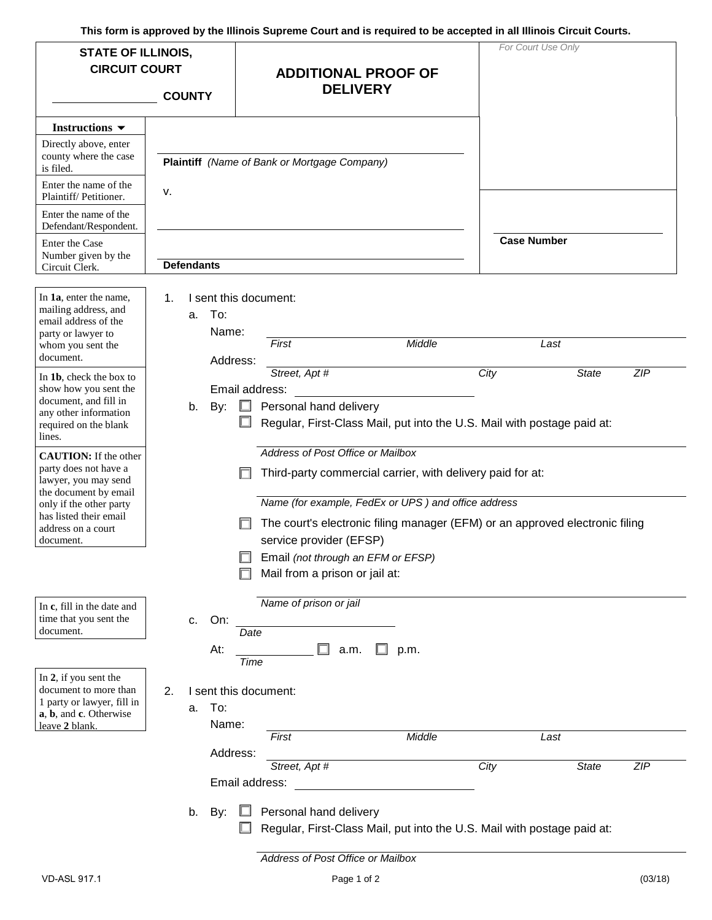**This form is approved by the Illinois Supreme Court and is required to be accepted in all Illinois Circuit Courts.** 

| <b>STATE OF ILLINOIS,</b><br><b>CIRCUIT COURT</b>                                                                                                                                              |                                      | <b>ADDITIONAL PROOF OF</b>                                                                                                                                                                                                                                        | For Court Use Only                         |
|------------------------------------------------------------------------------------------------------------------------------------------------------------------------------------------------|--------------------------------------|-------------------------------------------------------------------------------------------------------------------------------------------------------------------------------------------------------------------------------------------------------------------|--------------------------------------------|
|                                                                                                                                                                                                | <b>COUNTY</b>                        | <b>DELIVERY</b>                                                                                                                                                                                                                                                   |                                            |
| Instructions $\blacktriangledown$<br>Directly above, enter<br>county where the case                                                                                                            |                                      | Plaintiff (Name of Bank or Mortgage Company)                                                                                                                                                                                                                      |                                            |
| is filed.<br>Enter the name of the<br>Plaintiff/Petitioner.                                                                                                                                    | ν.                                   |                                                                                                                                                                                                                                                                   |                                            |
| Enter the name of the<br>Defendant/Respondent.                                                                                                                                                 |                                      |                                                                                                                                                                                                                                                                   |                                            |
| Enter the Case<br>Number given by the<br>Circuit Clerk.                                                                                                                                        | <b>Defendants</b>                    |                                                                                                                                                                                                                                                                   | <b>Case Number</b>                         |
| In 1a, enter the name,<br>mailing address, and<br>email address of the<br>party or lawyer to<br>whom you sent the<br>document.                                                                 | 1.<br>To:<br>a.<br>Name:<br>Address: | I sent this document:<br>First<br>Middle                                                                                                                                                                                                                          | Last                                       |
| In 1b, check the box to<br>show how you sent the<br>document, and fill in<br>any other information<br>required on the blank<br>lines.                                                          | By:<br>b.                            | Street, Apt #<br>Email address:<br>Personal hand delivery<br>Regular, First-Class Mail, put into the U.S. Mail with postage paid at:                                                                                                                              | City<br>ZIP<br><b>State</b>                |
| <b>CAUTION:</b> If the other<br>party does not have a<br>lawyer, you may send<br>the document by email<br>only if the other party<br>has listed their email<br>address on a court<br>document. |                                      | Address of Post Office or Mailbox<br>Third-party commercial carrier, with delivery paid for at:<br>Name (for example, FedEx or UPS) and office address<br>The court's electronic filing manager (EFM) or an approved electronic filing<br>service provider (EFSP) |                                            |
|                                                                                                                                                                                                |                                      | Email (not through an EFM or EFSP)<br>Mail from a prison or jail at:                                                                                                                                                                                              |                                            |
| In c, fill in the date and<br>time that you sent the<br>document.                                                                                                                              | On:<br>c.<br>At:                     | Name of prison or jail<br>Date<br>a.m.<br>p.m.<br>Time                                                                                                                                                                                                            |                                            |
| In 2, if you sent the<br>document to more than<br>1 party or lawyer, fill in<br>a, b, and c. Otherwise<br>leave 2 blank.                                                                       | 2.<br>To:<br>а.<br>Name:             | I sent this document:                                                                                                                                                                                                                                             |                                            |
|                                                                                                                                                                                                | Address:                             | Middle<br>First<br>Street, Apt #<br>Email address:                                                                                                                                                                                                                | Last<br>City<br><b>State</b><br><b>ZIP</b> |
|                                                                                                                                                                                                | b.<br>By:                            | Personal hand delivery<br>Regular, First-Class Mail, put into the U.S. Mail with postage paid at:                                                                                                                                                                 |                                            |